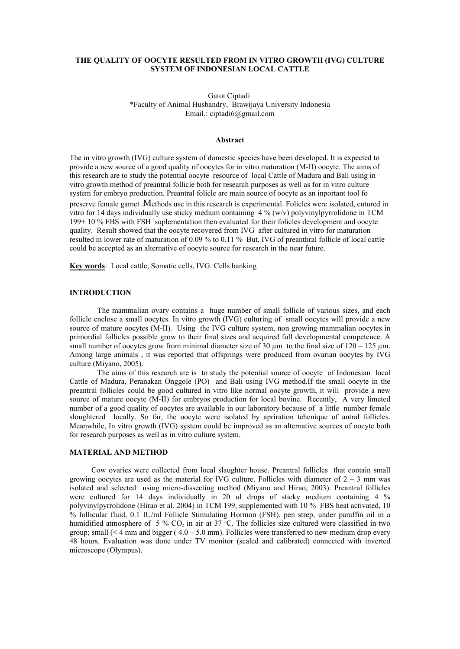# **THE QUALITY OF OOCYTE RESULTED FROM IN VITRO GROWTH (IVG) CULTURE SYSTEM OF INDONESIAN LOCAL CATTLE**

Gatot Ciptadi \*Faculty of Animal Husbandry, Brawijaya University Indonesia Email.: ciptadi6@gmail.com

#### **Abstract**

The in vitro growth (IVG) culture system of domestic species have been developed. It is expected to provide a new source of a good quality of oocytes for in vitro maturation (M-II) oocyte. The aims of this research are to study the potential oocyte resource of local Cattle of Madura and Bali using in vitro growth method of preantral follicle both for research purposes as well as for in vitro culture system for embryo production. Preantral folicle are main source of oocyte as an inportant tool fo preserve female gamet .Methods use in this research is experimental. Folicles were isolated, cutured in vitro for 14 days individually use sticky medium containing  $4\%$  (w/v) polyvinylpyrrolidone in TCM 199+ 10 % FBS with FSH suplementation then evaluated for their folicles development and oocyte quality. Result showed that the oocyte recovered from IVG after cultured in vitro for maturation resulted in lower rate of maturation of 0.09 % to 0.11 % But, IVG of preanthral follicle of local cattle could be accepted as an alternative of oocyte source for research in the near future.

**Key words**: Local cattle, Somatic cells, IVG. Cells banking

### **INTRODUCTION**

The mammalian ovary contains a huge number of small follicle of various sizes, and each follicle enclose a small oocytes. In vitro growth (IVG) culturing of small oocytes will provide a new source of mature oocytes (M-II). Using the IVG culture system, non growing mammalian oocytes in primordial follicles possible grow to their final sizes and acquired full developmental competence. A small number of oocytes grow from minimal diameter size of 30  $\mu$ m to the final size of 120 – 125  $\mu$ m. Among large animals , it was reported that offsprings were produced from ovarian oocytes by IVG culture (Miyano, 2005).

The aims of this research are is to study the potential source of oocyte of Indonesian local Cattle of Madura, Peranakan Onggole (PO) and Bali using IVG method.If the small oocyte in the preantral follicles could be good cultured in vitro like normal oocyte growth, it will provide a new source of mature oocyte (M-II) for embryos production for local bovine. Recently, A very limeted number of a good quality of oocytes are available in our laboratory because of a little number female sloughtered locally. So far, the oocyte were isolated by apriration tehcnique of antral follicles. Meanwhile, In vitro growth (IVG) system could be improved as an alternative sources of oocyte both for research purposes as well as in vitro culture system.

## **MATERIAL AND METHOD**

Cow ovaries were collected from local slaughter house. Preantral follicles that contain small growing oocytes are used as the material for IVG culture. Follicles with diameter of  $2 - 3$  mm was isolated and selected using micro-dissecting method (Miyano and Hirao, 2003). Preantral follicles were cultured for 14 days individually in 20 *u*l drops of sticky medium containing 4 % polyvinylpyrrolidone (Hirao et al. 2004) in TCM 199, supplemented with 10 % FBS heat activated, 10 % follicular fluid, 0.1 IU/ml Follicle Stimulating Hormon (FSH), pen strep, under paraffin oil in a humidified atmosphere of 5 %  $CO<sub>2</sub>$  in air at 37 °C. The follicles size cultured were classified in two group; small  $\ll 4$  mm and bigger ( $4.0 - 5.0$  mm). Follicles were transferred to new medium drop every 48 hours. Evaluation was done under TV monitor (scaled and calibrated) connected with inverted microscope (Olympus).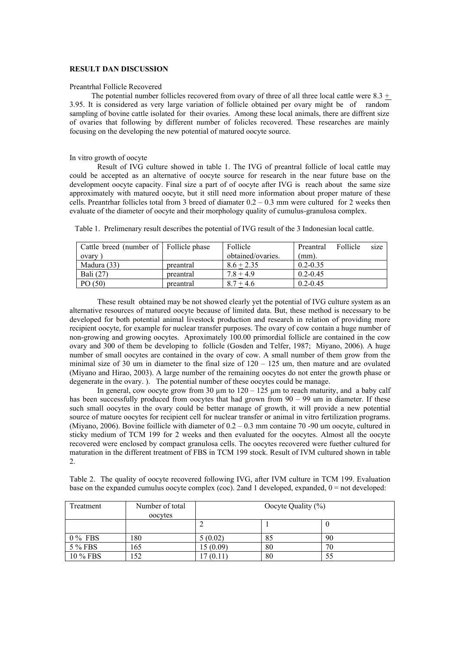### **RESULT DAN DISCUSSION**

#### Preantrhal Follicle Recovered

The potential number follicles recovered from ovary of three of all three local cattle were 8.3 + 3.95. It is considered as very large variation of follicle obtained per ovary might be of random sampling of bovine cattle isolated for their ovaries. Among these local animals, there are diffrent size of ovaries that following by different number of folicles recovered. These researches are mainly focusing on the developing the new potential of matured oocyte source.

#### In vitro growth of oocyte

Result of IVG culture showed in table 1. The IVG of preantral follicle of local cattle may could be accepted as an alternative of oocyte source for research in the near future base on the development oocyte capacity. Final size a part of of oocyte after IVG is reach about the same size approximately with matured oocyte, but it still need more information about proper mature of these cells. Preantrhar follicles total from 3 breed of diamater  $0.2 - 0.3$  mm were cultured for 2 weeks then evaluate of the diameter of oocyte and their morphology quality of cumulus-granulosa complex.

| Cattle breed (number of   Follicle phase |           | <b>Follicle</b>   | Preantral    | <b>Follicle</b> | size |
|------------------------------------------|-----------|-------------------|--------------|-----------------|------|
| ovary                                    |           | obtained/ovaries. | (mm).        |                 |      |
| Madura (33)                              | preantral | $8.6 + 2.35$      | $0.2 - 0.35$ |                 |      |
| Bali (27)                                | preantral | $7.8 + 4.9$       | $0.2 - 0.45$ |                 |      |
| PO(50)                                   | preantral | $8.7 + 4.6$       | $0.2 - 0.45$ |                 |      |

Table 1. Prelimenary result describes the potential of IVG result of the 3 Indonesian local cattle.

These result obtained may be not showed clearly yet the potential of IVG culture system as an alternative resources of matured oocyte because of limited data. But, these method is necessary to be developed for both potential animal livestock production and research in relation of providing more recipient oocyte, for example for nuclear transfer purposes. The ovary of cow contain a huge number of non-growing and growing oocytes. Aproximately 100.00 primordial follicle are contained in the cow ovary and 300 of them be developing to follicle (Gosden and Telfer, 1987; Miyano, 2006). A huge number of small oocytes are contained in the ovary of cow. A small number of them grow from the minimal size of 30 um in diameter to the final size of  $120 - 125$  um, then mature and are ovulated (Miyano and Hirao, 2003). A large number of the remaining oocytes do not enter the growth phase or degenerate in the ovary. ). The potential number of these oocytes could be manage.

In general, cow oocyte grow from 30  $\mu$ m to 120 – 125  $\mu$ m to reach maturity, and a baby calf has been successfully produced from oocytes that had grown from 90 – 99 um in diameter. If these such small oocytes in the ovary could be better manage of growth, it will provide a new potential source of mature oocytes for recipient cell for nuclear transfer or animal in vitro fertilization programs. (Miyano, 2006). Bovine foillicle with diameter of 0.2 – 0.3 mm containe 70 -90 um oocyte, cultured in sticky medium of TCM 199 for 2 weeks and then evaluated for the oocytes. Almost all the oocyte recovered were enclosed by compact granulosa cells. The oocytes recovered were fuether cultured for maturation in the different treatment of FBS in TCM 199 stock. Result of IVM cultured shown in table 2.

| Treatment | Number of total<br>oocytes | Oocyte Quality $(\% )$ |    |    |
|-----------|----------------------------|------------------------|----|----|
|           |                            |                        |    |    |
| $0\%$ FBS | 80                         | 5(0.02)                | 85 | 90 |
| 5 % FBS   | .65                        | 15(0.09)               | 80 | 70 |
| 10 % FBS  | .52                        | 17(0.11)               | 80 | 55 |

Table 2. The quality of oocyte recovered following IVG, after IVM culture in TCM 199. Evaluation base on the expanded cumulus oocyte complex (coc). 2and 1 developed, expanded,  $0 =$  not developed: